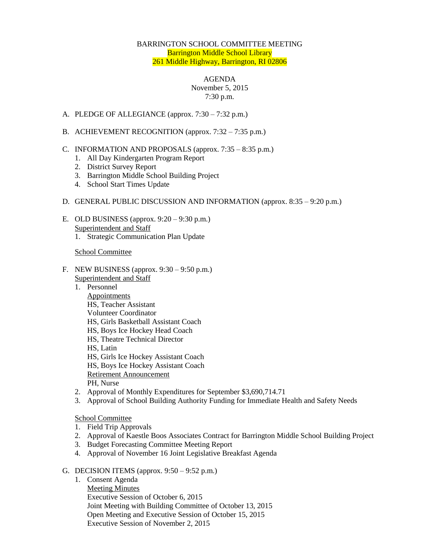## BARRINGTON SCHOOL COMMITTEE MEETING Barrington Middle School Library 261 Middle Highway, Barrington, RI 02806

#### AGENDA

# November 5, 2015 7:30 p.m.

- A. PLEDGE OF ALLEGIANCE (approx. 7:30 7:32 p.m.)
- B. ACHIEVEMENT RECOGNITION (approx. 7:32 7:35 p.m.)
- C. INFORMATION AND PROPOSALS (approx.  $7:35 8:35$  p.m.)
	- 1. All Day Kindergarten Program Report
	- 2. District Survey Report
	- 3. Barrington Middle School Building Project
	- 4. School Start Times Update

## D. GENERAL PUBLIC DISCUSSION AND INFORMATION (approx. 8:35 – 9:20 p.m.)

E. OLD BUSINESS (approx.  $9:20 - 9:30$  p.m.) Superintendent and Staff 1. Strategic Communication Plan Update

## School Committee

- F. NEW BUSINESS (approx. 9:30 9:50 p.m.) Superintendent and Staff
	- 1. Personnel Appointments HS, Teacher Assistant Volunteer Coordinator HS, Girls Basketball Assistant Coach HS, Boys Ice Hockey Head Coach HS, Theatre Technical Director HS, Latin HS, Girls Ice Hockey Assistant Coach HS, Boys Ice Hockey Assistant Coach Retirement Announcement PH, Nurse
	- 2. Approval of Monthly Expenditures for September \$3,690,714.71
	- 3. Approval of School Building Authority Funding for Immediate Health and Safety Needs

## School Committee

- 1. Field Trip Approvals
- 2. Approval of Kaestle Boos Associates Contract for Barrington Middle School Building Project
- 3. Budget Forecasting Committee Meeting Report
- 4. Approval of November 16 Joint Legislative Breakfast Agenda

## G. DECISION ITEMS (approx. 9:50 – 9:52 p.m.)

1. Consent Agenda Meeting Minutes Executive Session of October 6, 2015 Joint Meeting with Building Committee of October 13, 2015 Open Meeting and Executive Session of October 15, 2015 Executive Session of November 2, 2015